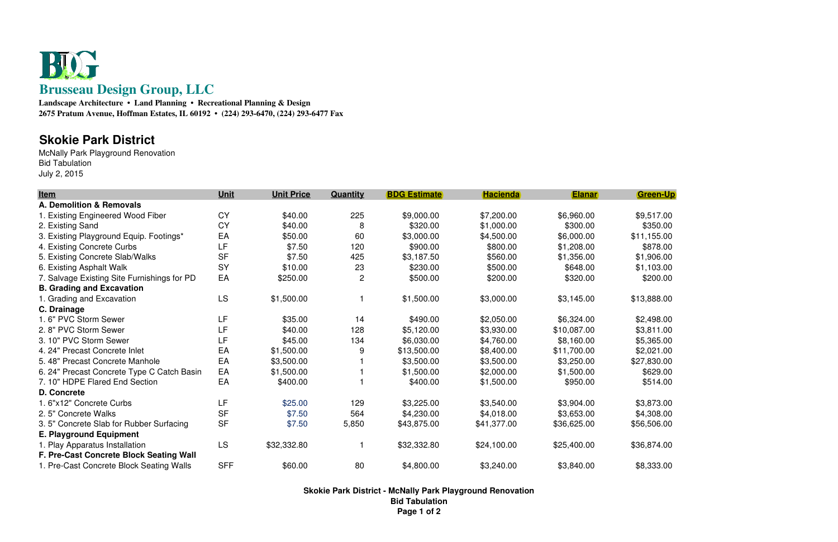

 **Landscape Architecture • Land Planning • Recreational Planning & Design2675 Pratum Avenue, Hoffman Estates, IL 60192 • (224) 293-6470, (224) 293-6477 Fax**

## **Skokie Park District**

 McNally Park Playground RenovationBid TabulationJuly 2, 2015

| <b>Item</b>                                 | Unit       | <b>Unit Price</b> | Quantity       | <b>BDG Estimate</b> | <b>Hacienda</b> | <b>Elanar</b> | <b>Green-Up</b> |
|---------------------------------------------|------------|-------------------|----------------|---------------------|-----------------|---------------|-----------------|
| A. Demolition & Removals                    |            |                   |                |                     |                 |               |                 |
| 1. Existing Engineered Wood Fiber           | <b>CY</b>  | \$40.00           | 225            | \$9,000.00          | \$7,200.00      | \$6,960.00    | \$9,517.00      |
| 2. Existing Sand                            | <b>CY</b>  | \$40.00           | 8              | \$320.00            | \$1,000.00      | \$300.00      | \$350.00        |
| 3. Existing Playground Equip. Footings*     | EA         | \$50.00           | 60             | \$3,000.00          | \$4,500.00      | \$6,000.00    | \$11,155.00     |
| 4. Existing Concrete Curbs                  | LF         | \$7.50            | 120            | \$900.00            | \$800.00        | \$1,208.00    | \$878.00        |
| 5. Existing Concrete Slab/Walks             | <b>SF</b>  | \$7.50            | 425            | \$3,187.50          | \$560.00        | \$1,356.00    | \$1,906.00      |
| 6. Existing Asphalt Walk                    | SY         | \$10.00           | 23             | \$230.00            | \$500.00        | \$648.00      | \$1,103.00      |
| 7. Salvage Existing Site Furnishings for PD | EA         | \$250.00          | $\overline{2}$ | \$500.00            | \$200.00        | \$320.00      | \$200.00        |
| <b>B. Grading and Excavation</b>            |            |                   |                |                     |                 |               |                 |
| 1. Grading and Excavation                   | LS         | \$1,500.00        |                | \$1,500.00          | \$3,000.00      | \$3,145.00    | \$13,888.00     |
| C. Drainage                                 |            |                   |                |                     |                 |               |                 |
| 1.6" PVC Storm Sewer                        | LF         | \$35.00           | 14             | \$490.00            | \$2,050.00      | \$6,324.00    | \$2,498.00      |
| 2.8" PVC Storm Sewer                        | LF         | \$40.00           | 128            | \$5,120.00          | \$3,930.00      | \$10,087.00   | \$3,811.00      |
| 3. 10" PVC Storm Sewer                      | LF         | \$45.00           | 134            | \$6,030.00          | \$4,760.00      | \$8,160.00    | \$5,365.00      |
| 4. 24" Precast Concrete Inlet               | EA         | \$1,500.00        | 9              | \$13,500.00         | \$8,400.00      | \$11,700.00   | \$2,021.00      |
| 5.48" Precast Concrete Manhole              | EA         | \$3,500.00        |                | \$3,500.00          | \$3,500.00      | \$3,250.00    | \$27,830.00     |
| 6. 24" Precast Concrete Type C Catch Basin  | EA         | \$1,500.00        |                | \$1,500.00          | \$2,000.00      | \$1,500.00    | \$629.00        |
| 7. 10" HDPE Flared End Section              | EA         | \$400.00          |                | \$400.00            | \$1,500.00      | \$950.00      | \$514.00        |
| D. Concrete                                 |            |                   |                |                     |                 |               |                 |
| 1.6"x12" Concrete Curbs                     | LF         | \$25.00           | 129            | \$3,225.00          | \$3,540.00      | \$3,904.00    | \$3,873.00      |
| 2.5" Concrete Walks                         | <b>SF</b>  | \$7.50            | 564            | \$4,230.00          | \$4,018.00      | \$3,653.00    | \$4,308.00      |
| 3.5" Concrete Slab for Rubber Surfacing     | <b>SF</b>  | \$7.50            | 5,850          | \$43,875.00         | \$41,377.00     | \$36,625.00   | \$56,506.00     |
| <b>E. Playground Equipment</b>              |            |                   |                |                     |                 |               |                 |
| 1. Play Apparatus Installation              | <b>LS</b>  | \$32,332.80       |                | \$32,332.80         | \$24,100.00     | \$25,400.00   | \$36,874.00     |
| F. Pre-Cast Concrete Block Seating Wall     |            |                   |                |                     |                 |               |                 |
| 1. Pre-Cast Concrete Block Seating Walls    | <b>SFF</b> | \$60.00           | 80             | \$4,800.00          | \$3,240.00      | \$3,840.00    | \$8,333.00      |

**Skokie Park District - McNally Park Playground RenovationBid TabulationPage 1 of 2**